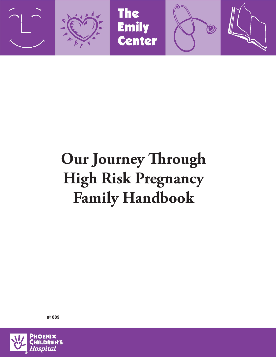

# **Our Journey Through High Risk Pregnancy Family Handbook**



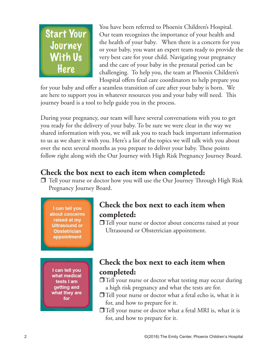

You have been referred to Phoenix Children's Hospital. Our team recognizes the importance of your health and the health of your baby. When there is a concern for you or your baby, you want an expert team ready to provide the very best care for your child. Navigating your pregnancy and the care of your baby in the prenatal period can be challenging. To help you, the team at Phoenix Children's Hospital offers fetal care coordinators to help prepare you

for your baby and offer a seamless transition of care after your baby is born. We are here to support you in whatever resources you and your baby will need. This journey board is a tool to help guide you in the process.

During your pregnancy, our team will have several conversations with you to get you ready for the delivery of your baby. To be sure we were clear in the way we shared information with you, we will ask you to teach back important information to us as we share it with you. Here's a list of the topics we will talk with you about over the next several months as you prepare to deliver your baby. These points follow right along with the Our Journey with High Risk Pregnancy Journey Board.

# **Check the box next to each item when completed:**

 Tell your nurse or doctor how you will use the Our Journey Through High Risk Pregnancy Journey Board.

I can tell you about concerns raised at my **Ultrasound or Obstetrician** appointment

#### **Check the box next to each item when completed:**

Tell your nurse or doctor about concerns raised at your Ultrasound or Obstetrician appointment.

I can tell you what medical tests I am getting and what they are for

# **Check the box next to each item when completed:**

 $\Box$  Tell your nurse or doctor what testing may occur during a high risk pregnancy and what the tests are for.

- Tell your nurse or doctor what a fetal echo is, what it is for, and how to prepare for it.
- $\Box$  Tell your nurse or doctor what a fetal MRI is, what it is for, and how to prepare for it.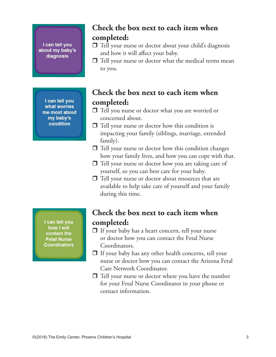I can tell you about my baby's diagnosis

> I can tell you what worries me most about my baby's condition

### **Check the box next to each item when completed:**

- □ Tell your nurse or doctor about your child's diagnosis and how it will affect your baby.
- $\Box$  Tell your nurse or doctor what the medical terms mean to you.

# **Check the box next to each item when completed:**

- □ Tell you nurse or doctor what you are worried or concerned about.
- $\Box$  Tell your nurse or doctor how this condition is impacting your family (siblings, marriage, extended family).
- $\Box$  Tell your nurse or doctor how this condition changes how your family lives, and how you can cope with that.
- $\Box$  Tell your nurse or doctor how you are taking care of yourself, so you can best care for your baby.
- $\Box$  Tell your nurse or doctor about resources that are available to help take care of yourself and your family during this time.

I can tell you how I will contact the **Fetal Nurse Coordinators** 

### **Check the box next to each item when completed:**

- $\Box$  If your baby has a heart concern, tell your nurse or doctor how you can contact the Fetal Nurse Coordinators.
- $\Box$  If your baby has any other health concerns, tell your nurse or doctor how you can contact the Arizona Fetal Care Network Coordinator.
- $\Box$  Tell your nurse or doctor where you have the number for your Fetal Nurse Coordinator in your phone or contact information.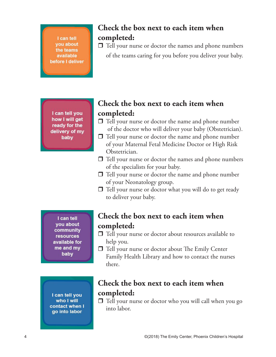I can tell you about the teams available before I deliver

# **Check the box next to each item when completed:**

 $\Box$  Tell your nurse or doctor the names and phone numbers of the teams caring for you before you deliver your baby.

I can tell you how I will get ready for the delivery of my baby

# **Check the box next to each item when completed:**

- $\Box$  Tell your nurse or doctor the name and phone number of the doctor who will deliver your baby (Obstetrician).
- $\Box$  Tell your nurse or doctor the name and phone number of your Maternal Fetal Medicine Doctor or High Risk Obstetrician.
- $\Box$  Tell your nurse or doctor the names and phone numbers of the specialists for your baby.
- $\Box$  Tell your nurse or doctor the name and phone number of your Neonatology group.
- $\Box$  Tell your nurse or doctor what you will do to get ready to deliver your baby.

I can tell you about community **resources** available for me and my baby

I can tell you who I will contact when I go into labor

### **Check the box next to each item when completed:**

- $\Box$  Tell your nurse or doctor about resources available to help you.
- $\Box$  Tell your nurse or doctor about The Emily Center Family Health Library and how to contact the nurses there.

# **Check the box next to each item when completed:**

 Tell your nurse or doctor who you will call when you go into labor.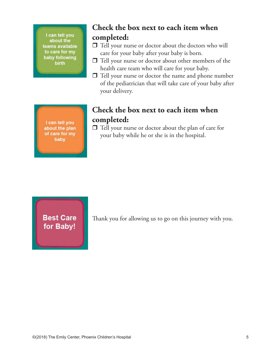I can tell you about the teams available to care for my baby following birth

# **Check the box next to each item when completed:**

- Tell your nurse or doctor about the doctors who will care for your baby after your baby is born.
- Tell your nurse or doctor about other members of the health care team who will care for your baby.
- $\Box$  Tell your nurse or doctor the name and phone number of the pediatrician that will take care of your baby after your delivery.

I can tell you about the plan of care for my baby

# **Check the box next to each item when completed:**

 $\Box$  Tell your nurse or doctor about the plan of care for your baby while he or she is in the hospital.

**Best Care** for Baby!

Thank you for allowing us to go on this journey with you.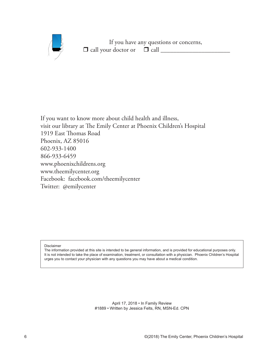

If you have any questions or concerns,  $\Box$  call your doctor or  $\Box$  call  $\_\_$ 

If you want to know more about child health and illness, visit our library at The Emily Center at Phoenix Children's Hospital 1919 East Thomas Road Phoenix, AZ 85016 602-933-1400 866-933-6459 www.phoenixchildrens.org www.theemilycenter.org Facebook: facebook.com/theemilycenter Twitter: @emilycenter

Disclaimer

The information provided at this site is intended to be general information, and is provided for educational purposes only. It is not intended to take the place of examination, treatment, or consultation with a physician. Phoenix Children's Hospital urges you to contact your physician with any questions you may have about a medical condition.

> April 17, 2018 • In Family Review #1889 • Written by Jessica Felts, RN, MSN-Ed. CPN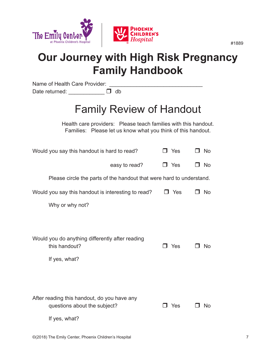

# **Our Journey with High Risk Pregnancy Family Handbook**

Name of Health Care Provider: Date returned:  $\Box$  db

# Family Review of Handout

Health care providers: Please teach families with this handout. Families: Please let us know what you think of this handout.

| Would you say this handout is hard to read?                                       | J Yes      | <b>No</b> |
|-----------------------------------------------------------------------------------|------------|-----------|
| easy to read?                                                                     | $\Box$ Yes | No        |
| Please circle the parts of the handout that were hard to understand.              |            |           |
| Would you say this handout is interesting to read?                                | Yes        | No.       |
| Why or why not?                                                                   |            |           |
|                                                                                   |            |           |
| Would you do anything differently after reading<br>this handout?<br>If yes, what? | Yes<br>ı   | <b>No</b> |
| After reading this handout, do you have any<br>questions about the subject?       | Yes        | No        |

If yes, what?

#1889